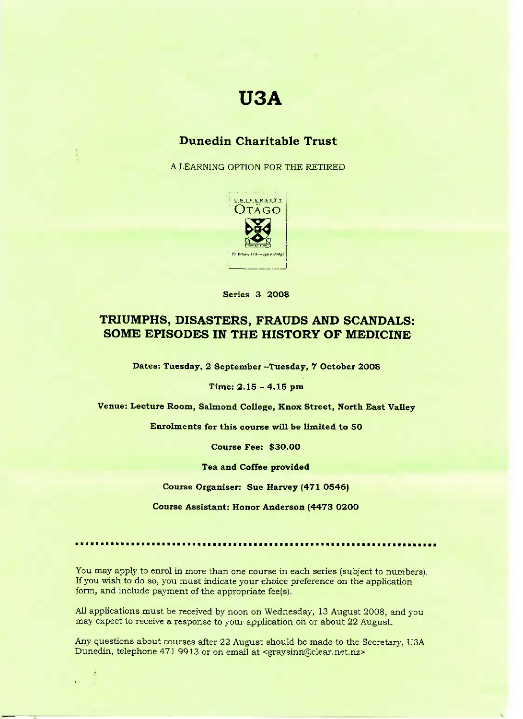# **USA**

## **Dunedin Charitable Trust**

A LEARNING OPTION FOR THE RETIRED



**Series 3 2008**

### **TRIUMPHS, DISASTERS, FRAUDS AND SCANDALS: SOME EPISODES IN THE HISTORY OF MEDICINE**

**Dates: Tuesday, 2 September -Tuesday, 7 October 2008**

**Time: 2.15 - 4.15 pm**

**Venue: Lecture Room, Salmond College, Knox Street, North East Valley**

**Enrolments for this course will be limited to 50**

**Course Fee: \$30.00**

**Tea and Coffee provided**

**Course Organiser:** Sue Harvey (471 0546)

**Course Assistant: Honor Anderson (4473 0200**

You may apply to enrol in more than one course in each series (subject to numbers). If you wish to do so, you must indicate your choice preference on the application form, and include payment of the appropriate fee(s).

All applications must be received by noon on Wednesday, 13 August 2008, and you may expect to receive a response to your application on or about 22 August.

Any questions about courses after 22 August should be made to the Secretary, USA Dunedin, telephone 471 9913 or on email at <graysinn@clear.net.nz>

ķ,